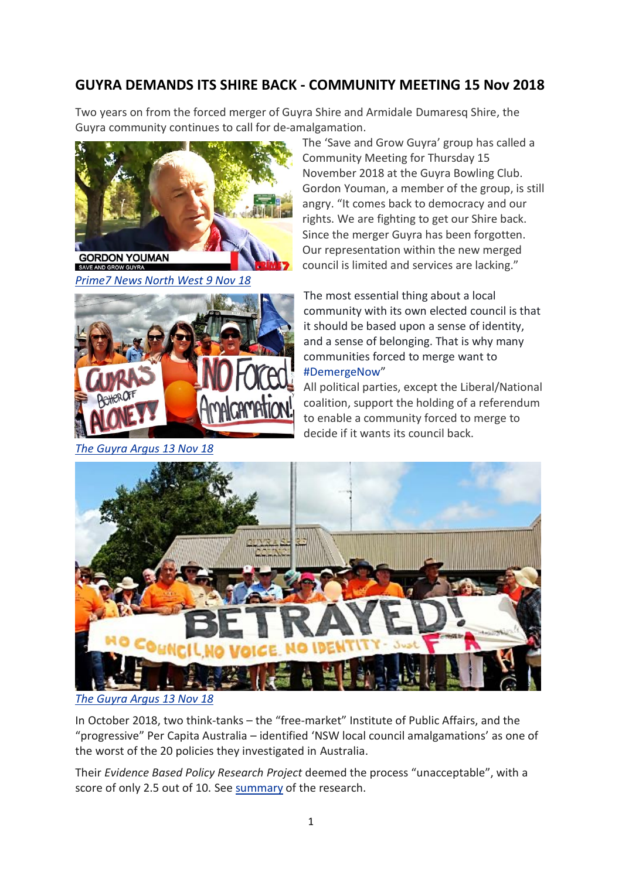## **GUYRA DEMANDS ITS SHIRE BACK - COMMUNITY MEETING 15 Nov 2018**

Two years on from the forced merger of Guyra Shire and Armidale Dumaresq Shire, the Guyra community continues to call for de-amalgamation.



*[Prime7 News North West 9 Nov 18](https://www.facebook.com/Prime7NewsNorthWest/videos/688955761474637/UzpfSTE0MTk5MDE3MDE2NjU3Mjg6MjIxMTUxMDQ3NTgzODE3Ng/)*



*[The Guyra Argus 13 Nov 18](https://www.guyraargus.com.au/story/5754717/anti-amalgamation-campaigner-speaks-in-guyra-this-thursday/?cs=605&fbclid=IwAR1sOHIqRiBSrS_YiKRAv97O4gxT7hAMo63iOrpWf4Tsz2IvOQN5P9cd_qg)*

The 'Save and Grow Guyra' group has called a Community Meeting for Thursday 15 November 2018 at the Guyra Bowling Club. Gordon Youman, a member of the group, is still angry. "It comes back to democracy and our rights. We are fighting to get our Shire back. Since the merger Guyra has been forgotten. Our representation within the new merged council is limited and services are lacking."

The most essential thing about a local community with its own elected council is that it should be based upon a sense of identity, and a sense of belonging. That is why many communities forced to merge want to [#DemergeNow](https://www.facebook.com/hashtag/demergenow?source=feed_text&__xts__%5B0%5D=68.ARDUigvZfK1ELiVm7SRTGTIwpRYH1LLCCBzEcFe9WU14M9a_clv3UrrO_X1Iq_R_7ziOAb-2MgoPT3FzhJg3fW2Qm9hmoIUaVqA9-E6jkitTECLizrcy4xrYGzX5c_A5ztsFia4gogne-QdlMZZTgVCZ-NII5hlNMkYLxqzigeY5mlZRQEgsxiVvl3SQaH7cvYDBT3dLMRXKLuRqUlRp9UG1KNM154sNV9FD4t-lcqlLUwsURmRf4fSEWDfInvQutQ83BsculPpK15yytPIcJIShnjutPHcCyTMI3-GLD4fhCWuLWKjGnmk8fFpeYAwr9gA9NMTv2n1PcLuk_tqi-mthaJvt&__tn__=%2ANK-R)"

All political parties, except the Liberal/National coalition, support the holding of a referendum to enable a community forced to merge to decide if it wants its council back.



*[The Guyra Argus 13 Nov 18](https://www.guyraargus.com.au/story/5755333/un-fit-for-the-future-think-tanks-declare-amalgamations-unacceptable/?cs=605&fbclid=IwAR08xzc_wmOWIfUYGiSvrxapJRnoQ065mSCIOyve16gw3b4sSV2QetXi5Ac)*

In October 2018, two think-tanks – the "free-market" Institute of Public Affairs, and the "progressive" Per Capita Australia – identified 'NSW local council amalgamations' as one of the worst of the 20 policies they investigated in Australia.

Their *Evidence Based Policy Research Project* deemed the process "unacceptable", with a score of only 2.5 out of 10. See [summary](https://savehuntershill.files.wordpress.com/2016/01/socc-damning-report-into-nsw-amalgamations-6-nov-20181.pdf) of the research.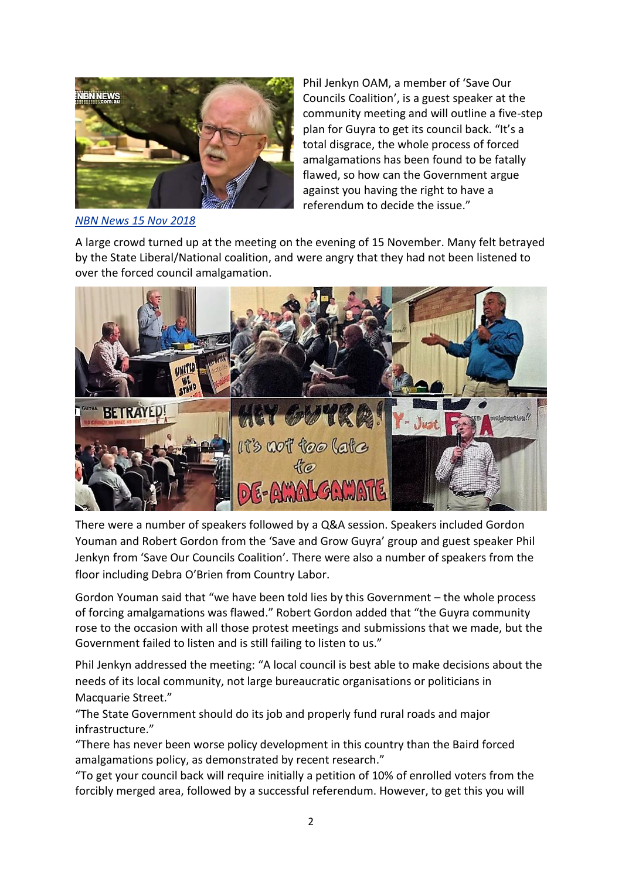

*[NBN News 15 Nov 2018](https://www.nbnnews.com.au/2018/11/15/guyra-residents-demalgamation-calls-backed-up-by-activist/?fbclid=IwAR0m5ejVvpKg3b0O05_sF3EQ7BMracJd2kaPZhkoA8GSsceJOomLCE2j9aE)*

Phil Jenkyn OAM, a member of 'Save Our Councils Coalition', is a guest speaker at the community meeting and will outline a five-step plan for Guyra to get its council back. "It's a total disgrace, the whole process of forced amalgamations has been found to be fatally flawed, so how can the Government argue against you having the right to have a referendum to decide the issue."

A large crowd turned up at the meeting on the evening of 15 November. Many felt betrayed by the State Liberal/National coalition, and were angry that they had not been listened to over the forced council amalgamation.



There were a number of speakers followed by a Q&A session. Speakers included Gordon Youman and Robert Gordon from the 'Save and Grow Guyra' group and guest speaker Phil Jenkyn from 'Save Our Councils Coalition'. There were also a number of speakers from the floor including Debra O'Brien from Country Labor.

Gordon Youman said that "we have been told lies by this Government – the whole process of forcing amalgamations was flawed." Robert Gordon added that "the Guyra community rose to the occasion with all those protest meetings and submissions that we made, but the Government failed to listen and is still failing to listen to us."

Phil Jenkyn addressed the meeting: "A local council is best able to make decisions about the needs of its local community, not large bureaucratic organisations or politicians in Macquarie Street."

"The State Government should do its job and properly fund rural roads and major infrastructure."

"There has never been worse policy development in this country than the Baird forced amalgamations policy, as demonstrated by recent research."

"To get your council back will require initially a petition of 10% of enrolled voters from the forcibly merged area, followed by a successful referendum. However, to get this you will